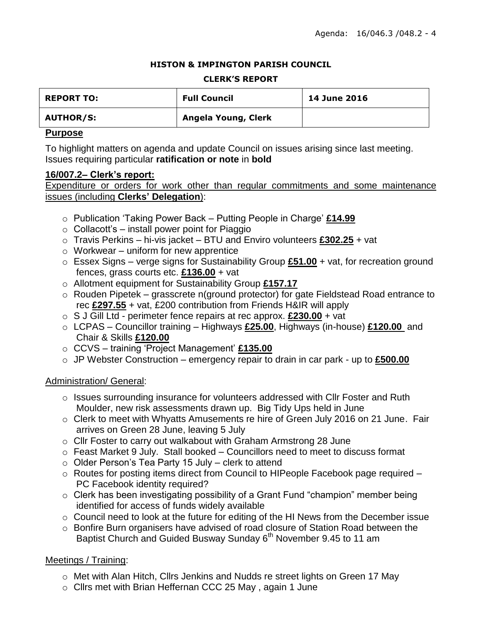#### **HISTON & IMPINGTON PARISH COUNCIL**

#### **CLERK'S REPORT**

| <b>REPORT TO:</b> | <b>Full Council</b> | <b>14 June 2016</b> |
|-------------------|---------------------|---------------------|
| <b>AUTHOR/S:</b>  | Angela Young, Clerk |                     |

### **Purpose**

To highlight matters on agenda and update Council on issues arising since last meeting. Issues requiring particular **ratification or note** in **bold**

### **16/007.2– Clerk's report:**

Expenditure or orders for work other than regular commitments and some maintenance issues (including **Clerks' Delegation**):

- o Publication 'Taking Power Back Putting People in Charge' **£14.99**
- $\circ$  Collacott's install power point for Piaggio
- o Travis Perkins hi-vis jacket BTU and Enviro volunteers **£302.25** + vat
- $\circ$  Workwear uniform for new apprentice
- o Essex Signs verge signs for Sustainability Group **£51.00** + vat, for recreation ground fences, grass courts etc. **£136.00** + vat
- o Allotment equipment for Sustainability Group **£157.17**
- o Rouden Pipetek grasscrete n(ground protector) for gate Fieldstead Road entrance to rec **£297.55** + vat, £200 contribution from Friends H&IR will apply
- o S J Gill Ltd perimeter fence repairs at rec approx. **£230.00** + vat
- o LCPAS Councillor training Highways **£25.00**, Highways (in-house) **£120.00** and Chair & Skills **£120.00**
- o CCVS training 'Project Management' **£135.00**
- o JP Webster Construction emergency repair to drain in car park up to **£500.00**

### Administration/ General:

- o Issues surrounding insurance for volunteers addressed with Cllr Foster and Ruth Moulder, new risk assessments drawn up. Big Tidy Ups held in June
- $\circ$  Clerk to meet with Whyatts Amusements re hire of Green July 2016 on 21 June. Fair arrives on Green 28 June, leaving 5 July
- o Cllr Foster to carry out walkabout with Graham Armstrong 28 June
- $\circ$  Feast Market 9 July. Stall booked Councillors need to meet to discuss format
- $\circ$  Older Person's Tea Party 15 July clerk to attend
- o Routes for posting items direct from Council to HIPeople Facebook page required PC Facebook identity required?
- o Clerk has been investigating possibility of a Grant Fund "champion" member being identified for access of funds widely available
- o Council need to look at the future for editing of the HI News from the December issue
- o Bonfire Burn organisers have advised of road closure of Station Road between the Baptist Church and Guided Busway Sunday 6<sup>th</sup> November 9.45 to 11 am

# Meetings / Training:

- o Met with Alan Hitch, Cllrs Jenkins and Nudds re street lights on Green 17 May
- o Cllrs met with Brian Heffernan CCC 25 May , again 1 June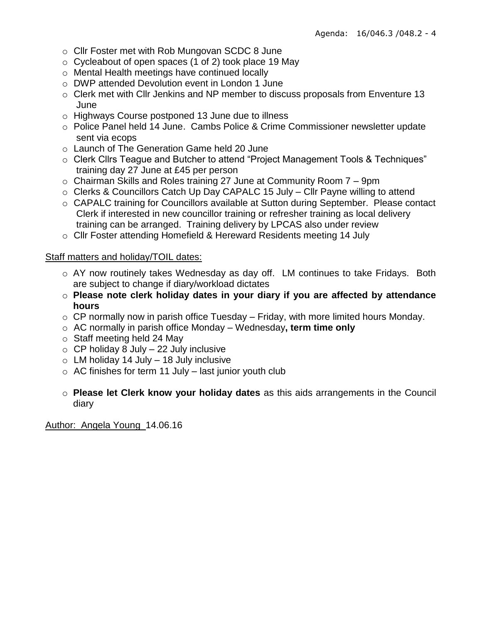- o Cllr Foster met with Rob Mungovan SCDC 8 June
- $\circ$  Cycleabout of open spaces (1 of 2) took place 19 May
- o Mental Health meetings have continued locally
- o DWP attended Devolution event in London 1 June
- o Clerk met with Cllr Jenkins and NP member to discuss proposals from Enventure 13 June
- o Highways Course postponed 13 June due to illness
- o Police Panel held 14 June. Cambs Police & Crime Commissioner newsletter update sent via ecops
- o Launch of The Generation Game held 20 June
- o Clerk Cllrs Teague and Butcher to attend "Project Management Tools & Techniques" training day 27 June at £45 per person
- o Chairman Skills and Roles training 27 June at Community Room 7 9pm
- o Clerks & Councillors Catch Up Day CAPALC 15 July Cllr Payne willing to attend
- o CAPALC training for Councillors available at Sutton during September. Please contact Clerk if interested in new councillor training or refresher training as local delivery training can be arranged. Training delivery by LPCAS also under review
- o Cllr Foster attending Homefield & Hereward Residents meeting 14 July

### Staff matters and holiday/TOIL dates:

- o AY now routinely takes Wednesday as day off. LM continues to take Fridays. Both are subject to change if diary/workload dictates
- o **Please note clerk holiday dates in your diary if you are affected by attendance hours**
- $\circ$  CP normally now in parish office Tuesday Friday, with more limited hours Monday.
- o AC normally in parish office Monday Wednesday**, term time only**
- o Staff meeting held 24 May
- $\circ$  CP holiday 8 July 22 July inclusive
- $\circ$  LM holiday 14 July 18 July inclusive
- $\circ$  AC finishes for term 11 July last junior youth club
- o **Please let Clerk know your holiday dates** as this aids arrangements in the Council diary

Author: Angela Young 14.06.16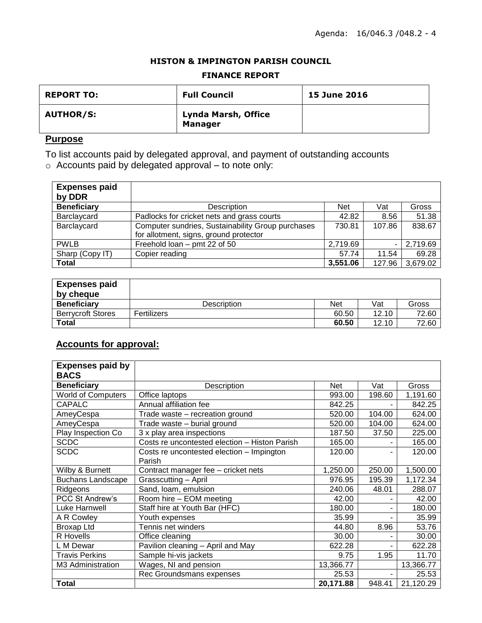#### **HISTON & IMPINGTON PARISH COUNCIL**

#### **FINANCE REPORT**

| <b>REPORT TO:</b> | <b>Full Council</b>                          | <b>15 June 2016</b> |
|-------------------|----------------------------------------------|---------------------|
| <b>AUTHOR/S:</b>  | <b>Lynda Marsh, Office</b><br><b>Manager</b> |                     |

# **Purpose**

To list accounts paid by delegated approval, and payment of outstanding accounts

o Accounts paid by delegated approval – to note only:

| <b>Expenses paid</b><br>by DDR |                                                                                             |            |        |          |
|--------------------------------|---------------------------------------------------------------------------------------------|------------|--------|----------|
| <b>Beneficiary</b>             | <b>Description</b>                                                                          | <b>Net</b> | Vat    | Gross    |
| Barclaycard                    | Padlocks for cricket nets and grass courts                                                  | 42.82      | 8.56   | 51.38    |
| Barclaycard                    | Computer sundries, Sustainability Group purchases<br>for allotment, signs, ground protector | 730.81     | 107.86 | 838.67   |
| <b>PWLB</b>                    | Freehold loan - pmt 22 of 50                                                                | 2,719.69   | ۰      | 2,719.69 |
| Sharp (Copy IT)                | Copier reading                                                                              | 57.74      | 11.54  | 69.28    |
| <b>Total</b>                   |                                                                                             | 3,551.06   | 127.96 | 3,679.02 |

| <b>Expenses paid</b>     |             |       |       |       |
|--------------------------|-------------|-------|-------|-------|
| by cheque                |             |       |       |       |
| <b>Beneficiary</b>       | Description | Net   | Vat   | Gross |
| <b>Berrvcroft Stores</b> | Fertilizers | 60.50 | 12.10 | 72.60 |
| <b>Total</b>             |             | 60.50 | 12.10 | 72.60 |

# **Accounts for approval:**

| <b>Expenses paid by</b>   |                                               |            |        |           |
|---------------------------|-----------------------------------------------|------------|--------|-----------|
| <b>BACS</b>               |                                               |            |        |           |
| <b>Beneficiary</b>        | Description                                   | <b>Net</b> | Vat    | Gross     |
| <b>World of Computers</b> | Office laptops                                | 993.00     | 198.60 | 1,191.60  |
| <b>CAPALC</b>             | Annual affiliation fee                        | 842.25     |        | 842.25    |
| AmeyCespa                 | Trade waste - recreation ground               | 520.00     | 104.00 | 624.00    |
| AmeyCespa                 | Trade waste - burial ground                   | 520.00     | 104.00 | 624.00    |
| Play Inspection Co        | 3 x play area inspections                     | 187.50     | 37.50  | 225.00    |
| <b>SCDC</b>               | Costs re uncontested election - Histon Parish | 165.00     |        | 165.00    |
| <b>SCDC</b>               | Costs re uncontested election - Impington     | 120.00     |        | 120.00    |
|                           | Parish                                        |            |        |           |
| Wilby & Burnett           | Contract manager fee - cricket nets           | 1,250.00   | 250.00 | 1,500.00  |
| <b>Buchans Landscape</b>  | Grasscutting - April                          | 976.95     | 195.39 | 1,172.34  |
| Ridgeons                  | Sand, Ioam, emulsion                          | 240.06     | 48.01  | 288.07    |
| PCC St Andrew's           | Room hire - EOM meeting                       | 42.00      |        | 42.00     |
| Luke Harnwell             | Staff hire at Youth Bar (HFC)                 | 180.00     |        | 180.00    |
| A R Cowley                | Youth expenses                                | 35.99      |        | 35.99     |
| Broxap Ltd                | Tennis net winders                            | 44.80      | 8.96   | 53.76     |
| R Hovells                 | Office cleaning                               | 30.00      |        | 30.00     |
| L M Dewar                 | Pavilion cleaning - April and May             | 622.28     |        | 622.28    |
| <b>Travis Perkins</b>     | Sample hi-vis jackets                         | 9.75       | 1.95   | 11.70     |
| M3 Administration         | Wages, NI and pension                         | 13,366.77  |        | 13,366.77 |
|                           | Rec Groundsmans expenses                      | 25.53      |        | 25.53     |
| Total                     |                                               | 20,171.88  | 948.41 | 21,120.29 |